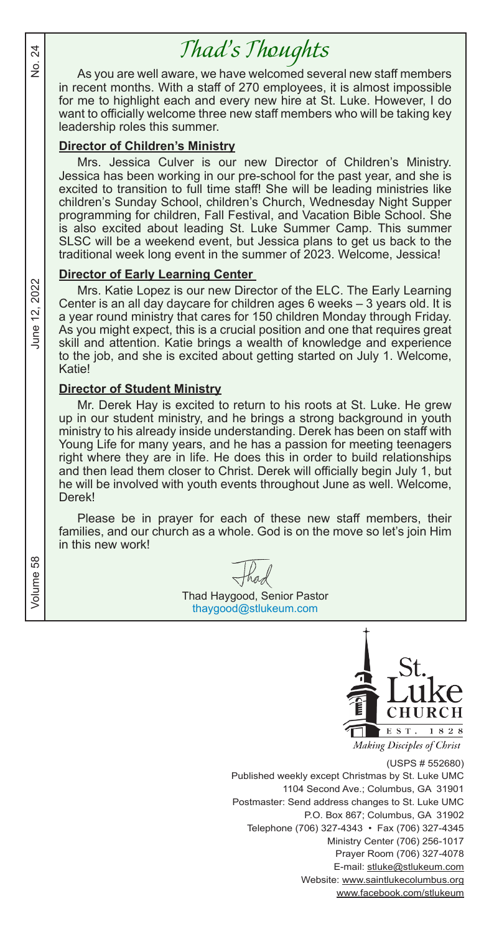## *Thad's Thoughts*

As you are well aware, we have welcomed several new staff members in recent months. With a staff of 270 employees, it is almost impossible for me to highlight each and every new hire at St. Luke. However, I do want to officially welcome three new staff members who will be taking key leadership roles this summer.

#### **Director of Children's Ministry**

Mrs. Jessica Culver is our new Director of Children's Ministry. Jessica has been working in our pre-school for the past year, and she is excited to transition to full time staff! She will be leading ministries like children's Sunday School, children's Church, Wednesday Night Supper programming for children, Fall Festival, and Vacation Bible School. She is also excited about leading St. Luke Summer Camp. This summer SLSC will be a weekend event, but Jessica plans to get us back to the traditional week long event in the summer of 2023. Welcome, Jessica!

#### **Director of Early Learning Center**

Mrs. Katie Lopez is our new Director of the ELC. The Early Learning Center is an all day daycare for children ages 6 weeks – 3 years old. It is a year round ministry that cares for 150 children Monday through Friday. As you might expect, this is a crucial position and one that requires great skill and attention. Katie brings a wealth of knowledge and experience to the job, and she is excited about getting started on July 1. Welcome, Katie!

#### **Director of Student Ministry**

Mr. Derek Hay is excited to return to his roots at St. Luke. He grew up in our student ministry, and he brings a strong background in youth ministry to his already inside understanding. Derek has been on staff with Young Life for many years, and he has a passion for meeting teenagers right where they are in life. He does this in order to build relationships and then lead them closer to Christ. Derek will officially begin July 1, but he will be involved with youth events throughout June as well. Welcome, Derek!

Please be in prayer for each of these new staff members, their families, and our church as a whole. God is on the move so let's join Him in this new work!

Thad Haygood, Senior Pastor thaygood@stlukeum.com



Making Disciples of Christ

(USPS # 552680) Published weekly except Christmas by St. Luke UMC 1104 Second Ave.; Columbus, GA 31901 Postmaster: Send address changes to St. Luke UMC P.O. Box 867; Columbus, GA 31902 Telephone (706) 327-4343 • Fax (706) 327-4345 Ministry Center (706) 256-1017 Prayer Room (706) 327-4078 E-mail: stluke@stlukeum.com Website: www.saintlukecolumbus.org www.facebook.com/stlukeum

2022 June 12,

শ্ৰ ż

Volume 58  $V$ 58 Volume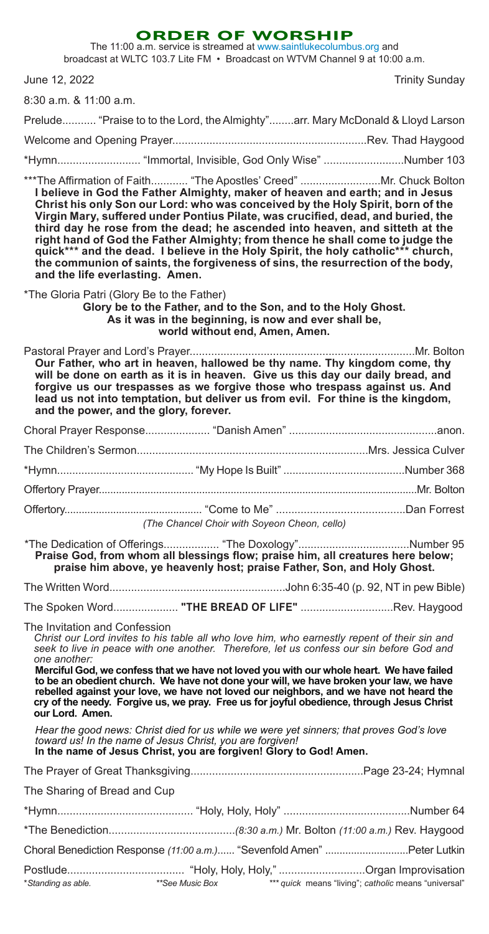|  |  | <b>ORDER OF WORSHIP</b> |  |
|--|--|-------------------------|--|
|  |  |                         |  |

The 11:00 a.m. service is streamed at www.saintlukecolumbus.org and broadcast at WLTC 103.7 Lite FM • Broadcast on WTVM Channel 9 at 10:00 a.m.

|  |  | June 12, 2022 |  |
|--|--|---------------|--|
|--|--|---------------|--|

**Trinity Sunday** 

 $8.30 \times m$   $8.11 \cdot 00$ 

| $8:30$ a.m. & 11:00 a.m.                   |                                                                                                                                                                                                                                                                                                                                                                                                                                                                                                                                                                                                                                                                     |  |
|--------------------------------------------|---------------------------------------------------------------------------------------------------------------------------------------------------------------------------------------------------------------------------------------------------------------------------------------------------------------------------------------------------------------------------------------------------------------------------------------------------------------------------------------------------------------------------------------------------------------------------------------------------------------------------------------------------------------------|--|
|                                            | Prelude "Praise to to the Lord, the Almighty"arr. Mary McDonald & Lloyd Larson                                                                                                                                                                                                                                                                                                                                                                                                                                                                                                                                                                                      |  |
|                                            |                                                                                                                                                                                                                                                                                                                                                                                                                                                                                                                                                                                                                                                                     |  |
|                                            | *Hymn "Immortal, Invisible, God Only Wise" Number 103                                                                                                                                                                                                                                                                                                                                                                                                                                                                                                                                                                                                               |  |
| and the life everlasting. Amen.            | ***The Affirmation of Faith "The Apostles' Creed" Mr. Chuck Bolton<br>I believe in God the Father Almighty, maker of heaven and earth; and in Jesus<br>Christ his only Son our Lord: who was conceived by the Holy Spirit, born of the<br>Virgin Mary, suffered under Pontius Pilate, was crucified, dead, and buried, the<br>third day he rose from the dead; he ascended into heaven, and sitteth at the<br>right hand of God the Father Almighty; from thence he shall come to judge the<br>quick*** and the dead. I believe in the Holy Spirit, the holy catholic*** church,<br>the communion of saints, the forgiveness of sins, the resurrection of the body, |  |
| *The Gloria Patri (Glory Be to the Father) | Glory be to the Father, and to the Son, and to the Holy Ghost.<br>As it was in the beginning, is now and ever shall be,<br>world without end, Amen, Amen.                                                                                                                                                                                                                                                                                                                                                                                                                                                                                                           |  |
| and the power, and the glory, forever.     | Our Father, who art in heaven, hallowed be thy name. Thy kingdom come, thy<br>will be done on earth as it is in heaven. Give us this day our daily bread, and<br>forgive us our trespasses as we forgive those who trespass against us. And<br>lead us not into temptation, but deliver us from evil. For thine is the kingdom,                                                                                                                                                                                                                                                                                                                                     |  |
|                                            |                                                                                                                                                                                                                                                                                                                                                                                                                                                                                                                                                                                                                                                                     |  |
|                                            |                                                                                                                                                                                                                                                                                                                                                                                                                                                                                                                                                                                                                                                                     |  |
|                                            |                                                                                                                                                                                                                                                                                                                                                                                                                                                                                                                                                                                                                                                                     |  |
|                                            |                                                                                                                                                                                                                                                                                                                                                                                                                                                                                                                                                                                                                                                                     |  |
|                                            | (The Chancel Choir with Soyeon Cheon, cello)                                                                                                                                                                                                                                                                                                                                                                                                                                                                                                                                                                                                                        |  |
|                                            | Praise God, from whom all blessings flow; praise him, all creatures here below;<br>praise him above, ye heavenly host; praise Father, Son, and Holy Ghost.                                                                                                                                                                                                                                                                                                                                                                                                                                                                                                          |  |
|                                            |                                                                                                                                                                                                                                                                                                                                                                                                                                                                                                                                                                                                                                                                     |  |
|                                            | The Spoken Word "THE BREAD OF LIFE" Rev. Haygood                                                                                                                                                                                                                                                                                                                                                                                                                                                                                                                                                                                                                    |  |
| The Invitation and Confession              |                                                                                                                                                                                                                                                                                                                                                                                                                                                                                                                                                                                                                                                                     |  |
| one another:                               | Christ our Lord invites to his table all who love him, who earnestly repent of their sin and<br>seek to live in peace with one another. Therefore, let us confess our sin before God and                                                                                                                                                                                                                                                                                                                                                                                                                                                                            |  |
| our Lord. Amen.                            | Merciful God, we confess that we have not loved you with our whole heart. We have failed<br>to be an obedient church. We have not done your will, we have broken your law, we have<br>rebelled against your love, we have not loved our neighbors, and we have not heard the<br>cry of the needy. Forgive us, we pray. Free us for joyful obedience, through Jesus Christ                                                                                                                                                                                                                                                                                           |  |
|                                            | Hear the good news: Christ died for us while we were yet sinners; that proves God's love<br>toward us! In the name of Jesus Christ, you are forgiven!<br>In the name of Jesus Christ, you are forgiven! Glory to God! Amen.                                                                                                                                                                                                                                                                                                                                                                                                                                         |  |
|                                            |                                                                                                                                                                                                                                                                                                                                                                                                                                                                                                                                                                                                                                                                     |  |
| The Sharing of Bread and Cup               |                                                                                                                                                                                                                                                                                                                                                                                                                                                                                                                                                                                                                                                                     |  |
|                                            |                                                                                                                                                                                                                                                                                                                                                                                                                                                                                                                                                                                                                                                                     |  |
|                                            |                                                                                                                                                                                                                                                                                                                                                                                                                                                                                                                                                                                                                                                                     |  |
|                                            | Choral Benediction Response (11:00 a.m.) "Sevenfold Amen" Peter Lutkin                                                                                                                                                                                                                                                                                                                                                                                                                                                                                                                                                                                              |  |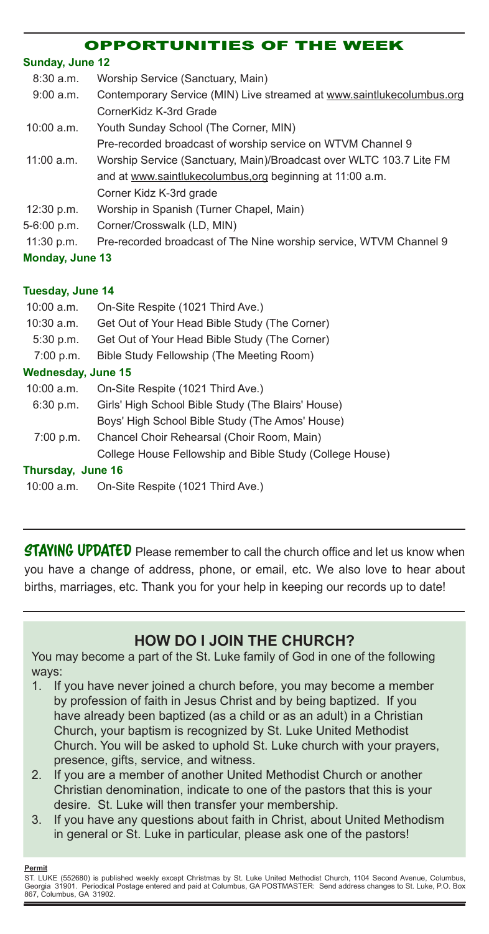#### OPPORTUNITIES OF THE WEEK

#### **Sunday, June 12**

| $8:30$ a.m.            | Worship Service (Sanctuary, Main)                                     |
|------------------------|-----------------------------------------------------------------------|
| 9:00 a.m.              | Contemporary Service (MIN) Live streamed at www.saintlukecolumbus.org |
|                        | CornerKidz K-3rd Grade                                                |
| $10:00$ a.m.           | Youth Sunday School (The Corner, MIN)                                 |
|                        | Pre-recorded broadcast of worship service on WTVM Channel 9           |
| $11:00$ a.m.           | Worship Service (Sanctuary, Main)/Broadcast over WLTC 103.7 Lite FM   |
|                        | and at www.saintlukecolumbus.org beginning at 11:00 a.m.              |
|                        | Corner Kidz K-3rd grade                                               |
| 12:30 p.m.             | Worship in Spanish (Turner Chapel, Main)                              |
| 5-6:00 p.m.            | Corner/Crosswalk (LD, MIN)                                            |
| 11:30 p.m.             | Pre-recorded broadcast of The Nine worship service, WTVM Channel 9    |
| <b>Monday, June 13</b> |                                                                       |
|                        |                                                                       |

#### **Tuesday, June 14**

| $10:00$ a.m.       | On-Site Respite (1021 Third Ave.)                        |
|--------------------|----------------------------------------------------------|
| $10:30$ a.m.       | Get Out of Your Head Bible Study (The Corner)            |
| $5:30$ p.m.        | Get Out of Your Head Bible Study (The Corner)            |
| 7:00 p.m.          | Bible Study Fellowship (The Meeting Room)                |
| Wednesday, June 15 |                                                          |
| $10:00$ a.m.       | On-Site Respite (1021 Third Ave.)                        |
| 6:30 p.m.          | Girls' High School Bible Study (The Blairs' House)       |
|                    | Boys' High School Bible Study (The Amos' House)          |
| 7:00 p.m.          | Chancel Choir Rehearsal (Choir Room, Main)               |
|                    | College House Fellowship and Bible Study (College House) |
| Thursday, June 16  |                                                          |
| $10:00$ a.m.       | On-Site Respite (1021 Third Ave.)                        |

**STAYING UPDATED** Please remember to call the church office and let us know when you have a change of address, phone, or email, etc. We also love to hear about births, marriages, etc. Thank you for your help in keeping our records up to date!

## **HOW DO I JOIN THE CHURCH?**

You may become a part of the St. Luke family of God in one of the following ways:

- 1. If you have never joined a church before, you may become a member by profession of faith in Jesus Christ and by being baptized. If you have already been baptized (as a child or as an adult) in a Christian Church, your baptism is recognized by St. Luke United Methodist Church. You will be asked to uphold St. Luke church with your prayers, presence, gifts, service, and witness.
- 2. If you are a member of another United Methodist Church or another Christian denomination, indicate to one of the pastors that this is your desire. St. Luke will then transfer your membership.
- 3. If you have any questions about faith in Christ, about United Methodism in general or St. Luke in particular, please ask one of the pastors!

#### **Permit**

ST. LUKE (552680) is published weekly except Christmas by St. Luke United Methodist Church, 1104 Second Avenue, Columbus,<br>Georgia 31901. Periodical Postage entered and paid at Columbus, GA POSTMASTER: Send address change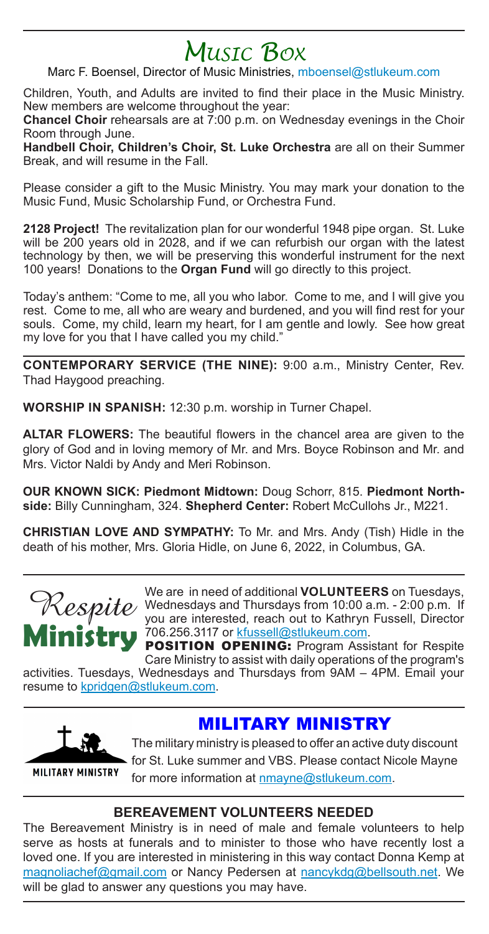# *Music Box*

Marc F. Boensel, Director of Music Ministries, mboensel@stlukeum.com

Children, Youth, and Adults are invited to find their place in the Music Ministry. New members are welcome throughout the year:

**Chancel Choir** rehearsals are at 7:00 p.m. on Wednesday evenings in the Choir Room through June.

**Handbell Choir, Children's Choir, St. Luke Orchestra** are all on their Summer Break, and will resume in the Fall.

Please consider a gift to the Music Ministry. You may mark your donation to the Music Fund, Music Scholarship Fund, or Orchestra Fund.

**2128 Project!** The revitalization plan for our wonderful 1948 pipe organ. St. Luke will be 200 years old in 2028, and if we can refurbish our organ with the latest technology by then, we will be preserving this wonderful instrument for the next 100 years! Donations to the **Organ Fund** will go directly to this project.

Today's anthem: "Come to me, all you who labor. Come to me, and I will give you rest. Come to me, all who are weary and burdened, and you will find rest for your souls. Come, my child, learn my heart, for I am gentle and lowly. See how great my love for you that I have called you my child."

**CONTEMPORARY SERVICE (THE NINE):** 9:00 a.m., Ministry Center, Rev. Thad Haygood preaching.

**WORSHIP IN SPANISH:** 12:30 p.m. worship in Turner Chapel.

**ALTAR FLOWERS:** The beautiful flowers in the chancel area are given to the glory of God and in loving memory of Mr. and Mrs. Boyce Robinson and Mr. and Mrs. Victor Naldi by Andy and Meri Robinson.

**OUR KNOWN SICK: Piedmont Midtown:** Doug Schorr, 815. **Piedmont Northside:** Billy Cunningham, 324. **Shepherd Center:** Robert McCullohs Jr., M221.

**CHRISTIAN LOVE AND SYMPATHY:** To Mr. and Mrs. Andy (Tish) Hidle in the death of his mother, Mrs. Gloria Hidle, on June 6, 2022, in Columbus, GA.



We are in need of additional **VOLUNTEERS** on Tuesdays, Wednesdays and Thursdays from 10:00 a.m. - 2:00 p.m. If We are in need of additional VOLUNTEERS on Tuesdays,<br>Wednesdays and Thursdays from 10:00 a.m. - 2:00 p.m. If<br>you are interested, reach out to Kathryn Fussell, Director 706.256.3117 or <u>kfussell@stlukeum.com</u>. **Ministry** <sup>you are miletaled, reach out to Railiyii I disseli, Director **Ministry** 706.256.3117 or <u>kfussell@stlukeum.com</u>.</sup>

Care Ministry to assist with daily operations of the program's

activities. Tuesdays, Wednesdays and Thursdays from 9AM – 4PM. Email your resume to kpridgen@stlukeum.com.



## MILITARY MINISTRY

The military ministry is pleased to offer an active duty discount for St. Luke summer and VBS. Please contact Nicole Mayne for more information at nmayne@stlukeum.com.

### **BEREAVEMENT VOLUNTEERS NEEDED**

The Bereavement Ministry is in need of male and female volunteers to help serve as hosts at funerals and to minister to those who have recently lost a loved one. If you are interested in ministering in this way contact Donna Kemp at magnoliachef@gmail.com or Nancy Pedersen at nancykdg@bellsouth.net. We will be glad to answer any questions you may have.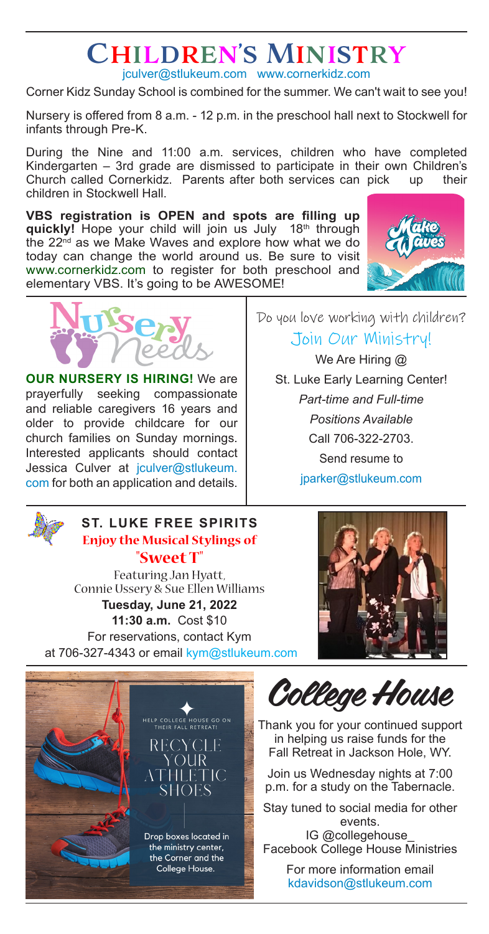## Children's Ministry jculver@stlukeum.com www.cornerkidz.com

Corner Kidz Sunday School is combined for the summer. We can't wait to see you!

Nursery is offered from 8 a.m. - 12 p.m. in the preschool hall next to Stockwell for infants through Pre-K.

During the Nine and 11:00 a.m. services, children who have completed Kindergarten – 3rd grade are dismissed to participate in their own Children's Church called Cornerkidz. Parents after both services can pick up their children in Stockwell Hall.

**VBS registration is OPEN and spots are filling up quickly!** Hope your child will join us July 18th through the 22<sup>nd</sup> as we Make Waves and explore how what we do today can change the world around us. Be sure to visit www.cornerkidz.com to register for both preschool and elementary VBS. It's going to be AWESOME!



Do you love working with children? Join Our Ministry! We Are Hiring @ St. Luke Early Learning Center! *Part-time and Full-time Positions Available* Call 706-322-2703. Send resume to jparker@stlukeum.com

**OUR NURSERY IS HIRING!** We are prayerfully seeking compassionate and reliable caregivers 16 years and older to provide childcare for our church families on Sunday mornings. Interested applicants should contact Jessica Culver at jculver@stlukeum. com for both an application and details.



### **ST. LUKE FREE SPIRITS Enjoy the Musical Stylings of "Sweet T"**

Featuring Jan Hyatt, Connie Ussery & Sue Ellen Williams **Tuesday, June 21, 2022 11:30 a.m.** Cost \$10 For reservations, contact Kym at 706-327-4343 or email kym@stlukeum.com





College House

Thank you for your continued support in helping us raise funds for the Fall Retreat in Jackson Hole, WY.

Join us Wednesday nights at 7:00 p.m. for a study on the Tabernacle.

Stay tuned to social media for other events.

IG @collegehouse\_ Facebook College House Ministries

> For more information email kdavidson@stlukeum.com